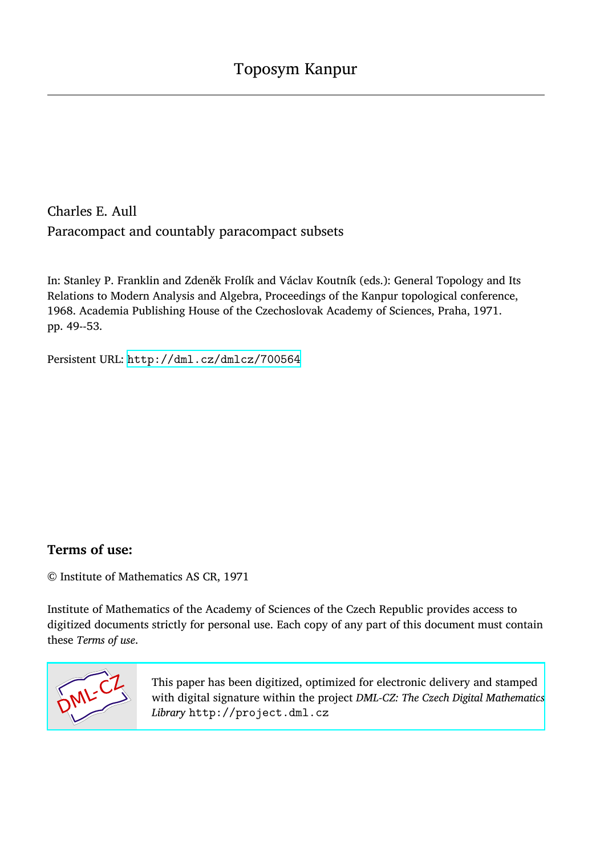Charles E. Aull Paracompact and countably paracompact subsets

In: Stanley P. Franklin and Zdeněk Frolík and Václav Koutník (eds.): General Topology and Its Relations to Modern Analysis and Algebra, Proceedings of the Kanpur topological conference, 1968. Academia Publishing House of the Czechoslovak Academy of Sciences, Praha, 1971. pp. 49--53.

Persistent URL: <http://dml.cz/dmlcz/700564>

# **Terms of use:**

© Institute of Mathematics AS CR, 1971

Institute of Mathematics of the Academy of Sciences of the Czech Republic provides access to digitized documents strictly for personal use. Each copy of any part of this document must contain these *Terms of use*.



[This paper has been digitized, optimized for electronic delivery and stamped](http://project.dml.cz) with digital signature within the project *DML-CZ: The Czech Digital Mathematics Library* http://project.dml.cz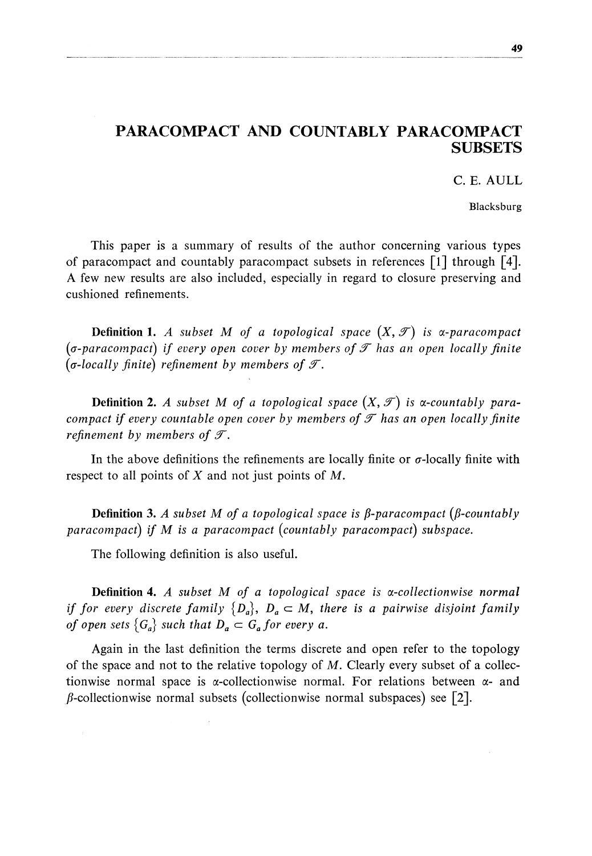# PARACOMPACT AND COUNTABLY PARACOMPACT **SUBSETS**

C. E. AULL

Blacksburg

This paper is a summary of results of the author concerning various types of paracompact and countably paracompact subsets in references  $\lceil 1 \rceil$  through  $\lceil 4 \rceil$ . A few new results are also included, especially in regard to closure preserving and cushioned refinements.

**Definition 1.** A subset M of a topological space  $(X, \mathcal{T})$  is  $\alpha$ -paracompact  $(σ\text{-}paracompack)$  if every open cover by members of  $\mathcal T$  has an open locally finite ( $\sigma$ -locally finite) refinement by members of  $\mathcal{T}$ .

**Definition 2.** A subset M of a topological space  $(X, \mathcal{T})$  is a-countably para*compact if every countable open cover by members of*  $\mathcal T$  *has an open locally finite refinement by members of*  $\mathcal{T}$ *.* 

In the above definitions the refinements are locally finite or  $\sigma$ -locally finite with respect to all points of *X* and not just points of M.

**Definition 3.** A subset M of a topological space is  $\beta$ -paracompact ( $\beta$ -countably *paracompact) if M is a paracompact (countably paracompact) subspace.* 

The following definition is also useful.

**Definition** 4. *A subset M of a topological space is a-collectionwise normal if for every discrete family*  $\{D_a\}$ ,  $D_a \subset M$ , there is a pairwise disjoint family *of open sets*  ${G_a}$ *such that*  $D_a \subset G_a$  *for every a.* 

Again in the last definition the terms discrete and open refer to the topology of the space and not to the relative topology of  $M$ . Clearly every subset of a collectionwise normal space is  $\alpha$ -collectionwise normal. For relations between  $\alpha$ - and  $\beta$ -collectionwise normal subsets (collectionwise normal subspaces) see [2].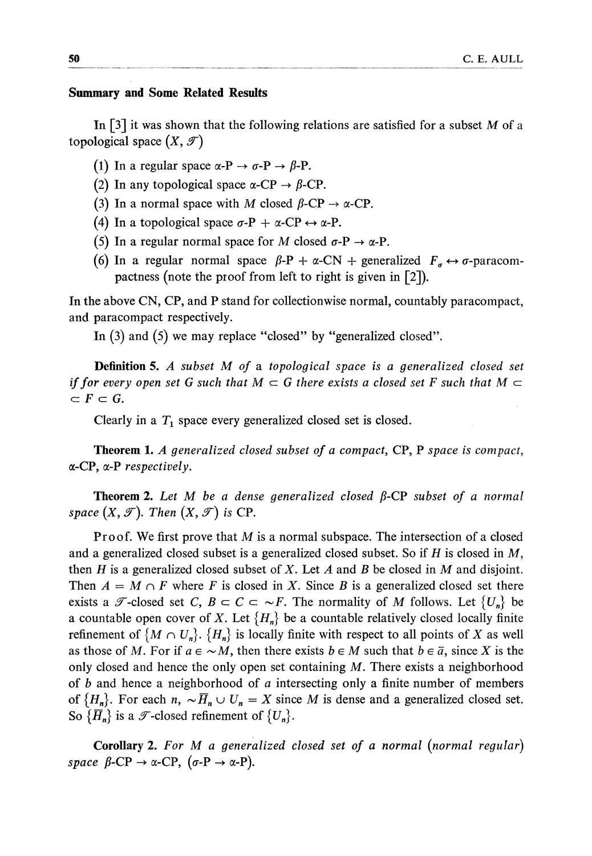### **Summary and Some Related Results**

In  $\lceil 3 \rceil$  it was shown that the following relations are satisfied for a subset M of a topological space  $(X, \mathcal{T})$ 

- (1) In a regular space  $\alpha$ -P  $\rightarrow \sigma$ -P  $\rightarrow \beta$ -P.
- (2) In any topological space  $\alpha$ -CP  $\rightarrow \beta$ -CP.
- (3) In a normal space with M closed  $\beta$ -CP  $\rightarrow \alpha$ -CP.
- (4) In a topological space  $\sigma$ -P +  $\alpha$ -CP  $\leftrightarrow \alpha$ -P.
- (5) In a regular normal space for M closed  $\sigma$ -P  $\rightarrow \alpha$ -P.
- (6) In a regular normal space  $\beta$ -P +  $\alpha$ -CN + generalized  $F_{\sigma} \leftrightarrow \sigma$ -paracompactness (note the proof from left to right is given in [2]).

In the above CN, CP, and P stand for collectionwise normal, countably paracompact, and paracompact respectively.

In (3) and (5) we may replace "closed" by "generalized closed".

**Definition 5.** *A subset M of* a *topological space is a generalized closed set if for every open set G such that*  $M \subset G$  there exists a closed set F such that  $M \subset G$  $\subset F\subset G$ .

Clearly in a  $T_1$  space every generalized closed set is closed.

**Theorem 1.** *A generalized closed subset of a compact*, CP, P *space is compact*, a-CP, a-P *respectively.* 

**Theorem 2.** Let M be a dense generalized closed  $\beta$ -CP subset of a normal *space*  $(X, \mathcal{T})$ *. Then*  $(X, \mathcal{T})$  *is* CP.

Proof. We first prove that M is a normal subspace. The intersection of a closed and a generalized closed subset is a generalized closed subset. So if *H* is closed in M, then *H* is a generalized closed subset of *X.* Let *A* and *B* be closed in M and disjoint. Then  $A = M \cap F$  where *F* is closed in *X*. Since *B* is a generalized closed set there exists a  $\mathscr{T}$ -closed set *C*,  $B \subset C \subset \sim F$ . The normality of M follows. Let  $\{U_n\}$  be a countable open cover of *X*. Let  $\{H_n\}$  be a countable relatively closed locally finite refinement of  $\{M \cap U_n\}$ .  $\{H_n\}$  is locally finite with respect to all points of *X* as well as those of M. For if  $a \in \sim M$ , then there exists  $b \in M$  such that  $b \in \bar{a}$ , since X is the only closed and hence the only open set containing  $M$ . There exists a neighborhood of *b* and hence a neighborhood of *a* intersecting only a finite number of members of  $\{H_n\}$ . For each  $n, \sim \overline{H}_n \cup U_n = X$  since M is dense and a generalized closed set. So  $\{\overline{H}_n\}$  is a  $\mathcal{T}$ -closed refinement of  $\{U_n\}.$ 

**Сo**r**ollar**y 2. F*or* M *a generalized closed set of a normal (normal reguîar) space*  $\beta$ -CP  $\rightarrow \alpha$ -CP,  $(\sigma$ -P  $\rightarrow \alpha$ -P).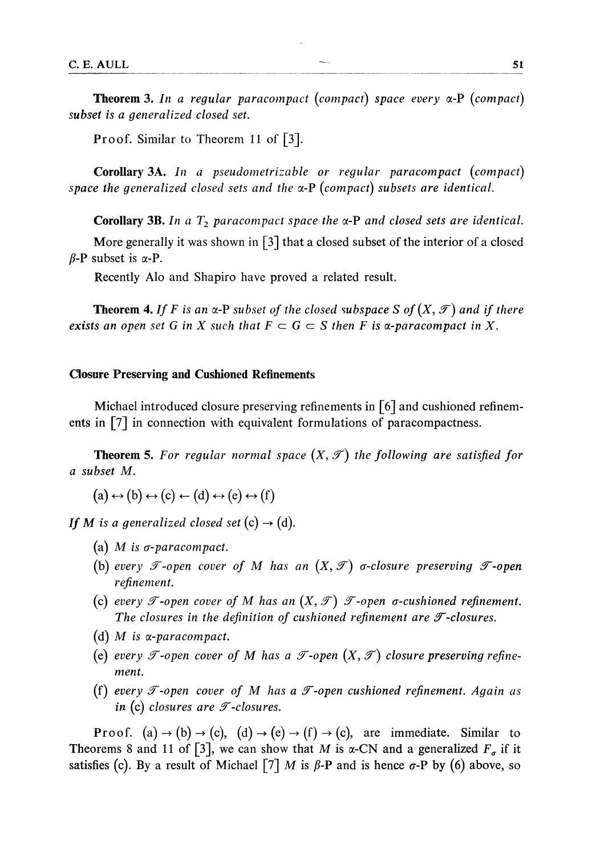**Theoгem 3.** *In a regular paracompact (compact) space every* a-P *(compact) subset is a generalized closed set.* 

Proof. Similar to Theorem 11 of [3].

**Corollar**y **ЗA.** *In a pseudometrizable or regular paracompact (compact) space the generalized closed sets and the* a-P *(compact) subsets are identical.* 

**Corollary 3B.** In a  $T_2$  paracompact space the  $\alpha$ -P and closed sets are identical.

More generally it was shown in  $\lceil 3 \rceil$  that a closed subset of the interior of a closed  $\beta$ -P subset is  $\alpha$ -P.

Recently Alo and Shapiro have proved a related result.

**Theorem 4.** If F is an  $\alpha$ -P subset of the closed subspace S of  $(X, \mathcal{T})$  and if there *exists an open set G in X such that*  $F \subset G \subset S$  *then F is a-paracompact in X*.

## **Closure Preserving and Cushioned Refinements**

Michael introduced closure preserving refinements in  $\lceil 6 \rceil$  and cushioned refinements in [7] in connection with equivalent formulations of paracompactness.

**Theorem 5.** For regular normal space  $(X, \mathcal{T})$  the following are satisfied for *a subset M.* 

 $(a) \leftrightarrow (b) \leftrightarrow (c) \leftarrow (d) \leftrightarrow (e) \leftrightarrow (f)$ 

*If M* is a generalized closed set (c)  $\rightarrow$  (d).

- (a) M is *a-paracompact.*
- (b) every  $\mathcal{T}\text{-open cover of }M$  has an  $(X,\mathcal{T})$   $\sigma$ -closure preserving  $\mathcal{T}\text{-open}$ *refinement.*
- (c) every  $\mathscr T$ -open cover of M has an  $(X,\mathscr T)$   $\mathscr T$ -open  $\sigma$ -cushioned refinement. The closures in the definition of cushioned refinement are  $\mathcal T$ -closures.
- (d) M *is a-paracompact.*
- (e) every *T*-open cover of M has a *T*-open  $(X, \mathcal{T})$  closure preserving refine*ment.*
- (f) every  $\mathcal T$ -open cover of M has a  $\mathcal T$ -open cushioned refinement. Again as *in* (c) *closures are*  $\mathcal{T}$ -*closures.*

**Proof.** (a)  $\rightarrow$  (b)  $\rightarrow$  (c), (d)  $\rightarrow$  (e)  $\rightarrow$  (f)  $\rightarrow$  (c), are immediate. Similar to Theorems 8 and 11 of [3], we can show that M is  $\alpha$ -CN and a generalized  $F_a$  if it satisfies (c). By a result of Michael  $\lceil 7 \rceil$  *M* is  $\beta$ -P and is hence  $\sigma$ -P by (6) above, so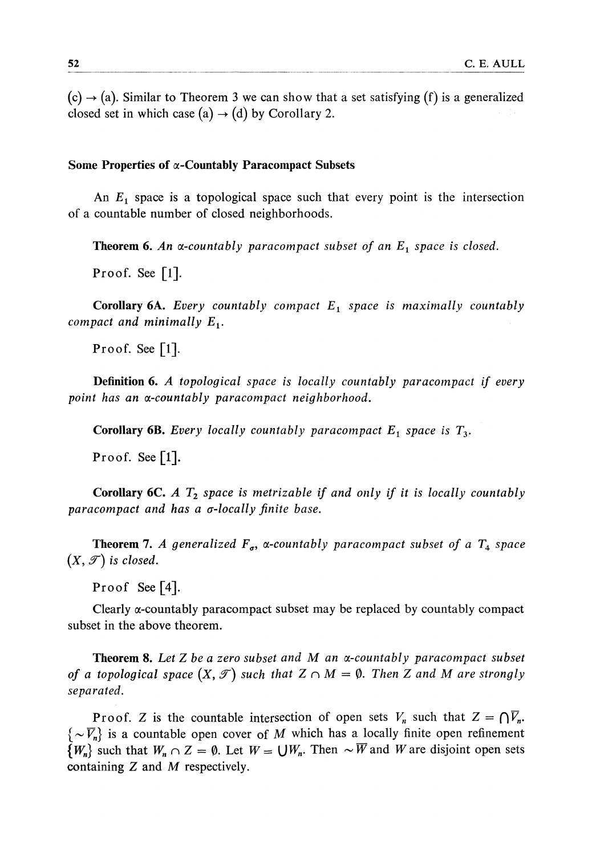$(c) \rightarrow (a)$ . Similar to Theorem 3 we can show that a set satisfying (f) is a generalized closed set in which case (a)  $\rightarrow$  (d) by Corollary 2.

### Some Properties of  $\alpha$ -Countably Paracompact Subsets

An  $E_1$  space is a topological space such that every point is the intersection of a countable number of closed neighborhoods.

**Theorem 6.** *An a-countably paracompact subset of an E<sup>t</sup> space is closed.* 

Proof. See [1].

**Corollar**y **6A.** *Every countably compact E<sup>t</sup> space is maximally countably compact and minimally E<sub>1</sub>.* 

Proof. See  $[1]$ .

**Definition 6.** *A topological space is locally countably paracompact if every point has an oc-countably paracompact neighborhood.* 

**Corollary 6B.** Every locally countably paracompact  $E_1$  space is  $T_3$ .

Proof. See [1].

**Corollar**y **6C.** *A T2 space is metrizable if and only if it is locally countably paracompact and has a a-locally finite base.* 

**Theorem 7.** A generalized  $F_{\sigma}$ ,  $\alpha$ -countably paracompact subset of a  $T_4$  space  $(X, \mathcal{T})$  is closed.

Proof See [4].

Clearly a-countably paracompact subset may be replaced by countably compact subset in the above theorem.

T**heorem 8.** *Let Z be a zero subset and M an a-countably paracompact subset of a topological space*  $(X, \mathcal{T})$  such that  $Z \cap M = \emptyset$ . Then Z and M are strongly *separated.* 

**Proof.** Z is the countable intersection of open sets  $V_n$  such that  $Z = \bigcap \overline{V}_n$ .  $\{\sim \overline{V}_n\}$  is a countable open cover of M which has a locally finite open refinement  $\{W_n\}$  such that  $W_n \cap Z = \emptyset$ . Let  $W = \bigcup W_n$ . Then  $\sim \overline{W}$  and *W* are disjoint open sets containing *Z* and M respectively.